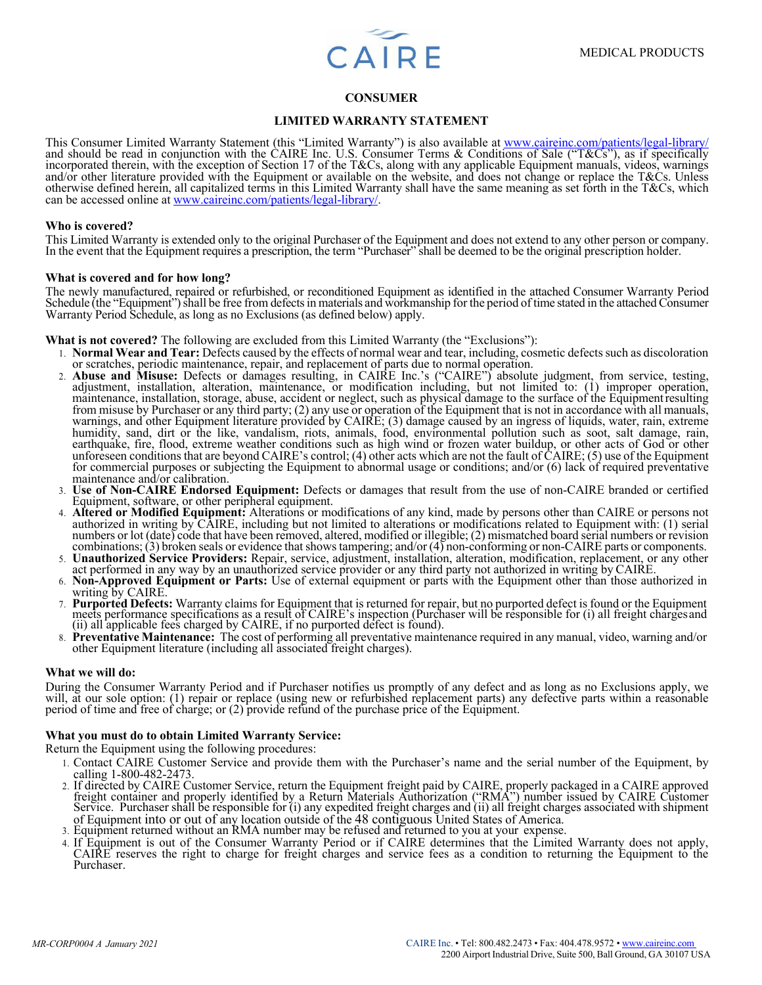

# **CONSUMER**

# **LIMITED WARRANTY STATEMENT**

This Consumer Limited Warranty Statement (this "Limited Warranty") is also available at www.caireinc.com/patients/legal-library/<br>and should be read in conjunction with the CAIRE Inc. U.S. Consumer Terms & Conditions of Sal incorporated therein, with the exception of Section 17 of the T&Cs, along with any applicable Equipment manuals, videos, warnings and/or other literature provided with the Equipment or available on the website, and does not change or replace the T&Cs. Unless otherwise defined herein, all capitalized terms in this Limited Warranty shall have the same meaning as set forth in the T&Cs, which can be accessed online at www.caireinc.com/patients/legal-library/.

### **Who is covered?**

This Limited Warranty is extended only to the original Purchaser of the Equipment and does not extend to any other person or company. In the event that the Equipment requires a prescription, the term "Purchaser" shall be deemed to be the original prescription holder.

#### **What is covered and for how long?**

The newly manufactured, repaired or refurbished, or reconditioned Equipment as identified in the attached Consumer Warranty Period Schedule (the "Equipment") shall be free from defects in materials and workmanship for the period of time stated in the attached Consumer Warranty Period Schedule, as long as no Exclusions (as defined below) apply.

**What is not covered?** The following are excluded from this Limited Warranty (the "Exclusions"):

- 1. **Normal Wear and Tear:** Defects caused by the effects of normal wear and tear, including, cosmetic defects such as discoloration or scratches, periodic maintenance, repair, and replacement of parts due to normal operation.
- 2. **Abuse and Misuse:** Defects or damages resulting, in CAIRE Inc.'s ("CAIRE") absolute judgment, from service, testing, adjustment, installation, alteration, maintenance, or modification including, but not limited to: (1) from misuse by Purchaser or any third party; (2) any use or operation of the Equipment that is not in accordance with all manuals, warnings, and other Equipment literature provided by CAIRE; (3) damage caused by an ingress of liquids, water, rain, extreme<br>humidity, sand, dirt or the like, vandalism, riots, animals, food, environmental pollution such a earthquake, fire, flood, extreme weather conditions such as high wind or frozen water buildup, or other acts of God or other unforeseen conditions that are beyond CAIRE's control; (4) other acts which are not the fault of for commercial purposes or subjecting the Equipment to abnormal usage or conditions; and/or  $(6)$  lack of required preventative maintenance and/or calibration.
- 3. **Use of Non-CAIRE Endorsed Equipment:** Defects or damages that result from the use of non-CAIRE branded or certified Equipment, software, or other peripheral equipment.
- 4. **Altered or Modified Equipment:** Alterations or modifications of any kind, made by persons other than CAIRE or persons not authorized in writing by CAIRE, including but not limited to alterations or modifications related to Equipment with: (1) serial numbers or lot (date) code that have been removed, altered, modified or illegible; (2) mismatched board serial numbers or revision combinations; (3) broken seals or evidence that shows tampering; and/or (4) non-conforming or non-CAIRE parts or components.
- 5. **Unauthorized Service Providers:** Repair, service, adjustment, installation, alteration, modification, replacement, or any other act performed in any way by an unauthorized service provider or any third party not author
- 6. **Non-Approved Equipment or Parts:** Use of external equipment or parts with the Equipment other than those authorized in writing by CAIRE.
- 7. Purported Defects: Warranty claims for Equipment that is returned for repair, but no purported defect is found or the Equipment meets performance specifications as a result of CAIRE's inspection (Purchaser will be respo (ii) all applicable fees charged by CAIRE, if no purported defect is found).
- 8. **Preventative Maintenance:** The cost of performing all preventative maintenance required in any manual, video, warning and/or other Equipment literature (including all associated freight charges).

#### **What we will do:**

During the Consumer Warranty Period and if Purchaser notifies us promptly of any defect and as long as no Exclusions apply, we will, at our sole option: (1) repair or replace (using new or refurbished replacement parts) any defective parts within a reasonable period of time and free of charge; or (2) provide refund of the purchase price of the Equ

#### **What you must do to obtain Limited Warranty Service:**

Return the Equipment using the following procedures:

- 1. Contact CAIRE Customer Service and provide them with the Purchaser's name and the serial number of the Equipment, by calling 1-800-482-2473.
- 2. If directed by CAIRE Customer Service, return the Equipment freight paid by CAIRE, properly packaged in a CAIRE approved<br>freight container and properly identified by a Return Materials Authorization ("RMA") number issue Service. Purchaser shall be responsible for (i) any expedited freight charges and (ii) all freight charges associated with shipment of Equipment into or out of any location outside of the 48 contiguous United States of America.
- 3. Equipment returned without an RMA number may be refused and returned to you at your expense.
- 4. If Equipment is out of the Consumer Warranty Period or if CAIRE determines that the Limited Warranty does not apply, CAIRE reserves the right to charge for freight charges and service fees as a condition to returning the Equipment to the Purchaser.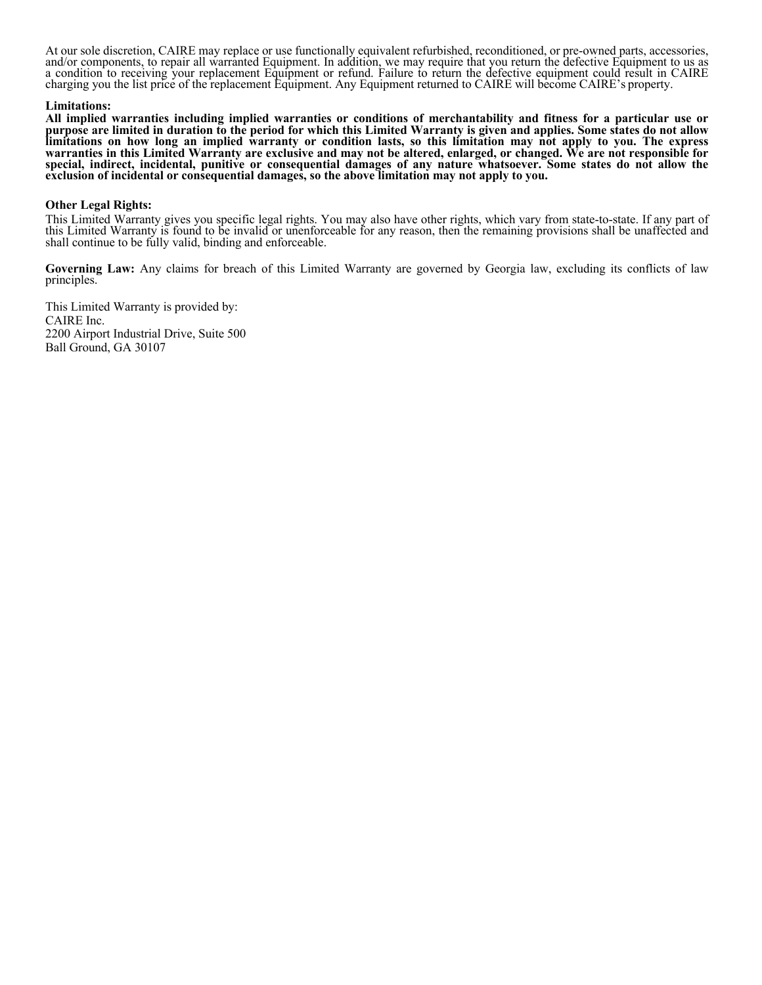At our sole discretion, CAIRE may replace or use functionally equivalent refurbished, reconditioned, or pre-owned parts, accessories, and/or components, to repair all warranted Equipment. In addition, we may require that you return the defective Equipment to us as a condition to receiving your replacement Equipment or refund. Failure to return the defective equipment could result in CAIRE charging you the list price of the replacement Equipment. Any Equipment returned to CAIRE will become CAIRE's property.

## **Limitations:**

**All implied warranties including implied warranties or conditions of merchantability and fitness for a particular use or purpose are limited in duration to the period for which this Limited Warranty is given and applies. Some states do not allow limitations on how long an implied warranty or condition lasts, so this limitation may not apply to you. The express warranties in this Limited Warranty are exclusive and may not be altered, enlarged, or changed. We are not responsible for special, indirect, incidental, punitive or consequential damages of any nature whatsoever. Some states do not allow the exclusion of incidental or consequential damages, so the above limitation may not apply to you.**

## **Other Legal Rights:**

This Limited Warranty gives you specific legal rights. You may also have other rights, which vary from state-to-state. If any part of this Limited Warranty is found to be invalid or unenforceable for any reason, then the r shall continue to be fully valid, binding and enforceable.

**Governing Law:** Any claims for breach of this Limited Warranty are governed by Georgia law, excluding its conflicts of law principles.

This Limited Warranty is provided by: CAIRE Inc. 2200 Airport Industrial Drive, Suite 500 Ball Ground, GA 30107